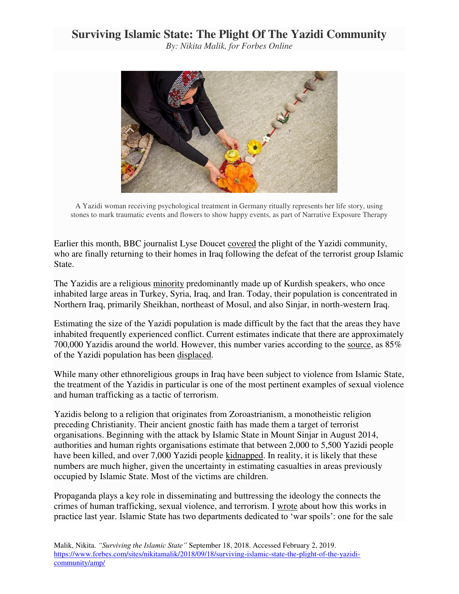*By: Nikita Malik, for Forbes Online* 



A Yazidi woman receiving psychological treatment in Germany ritually represents her life story, using stones to mark traumatic events and flowers to show happy events, as part of Narrative Exposure Therapy

Earlier this month, BBC journalist Lyse Doucet [covered](https://www.theguardian.com/world/2018/sep/09/yazidis-isis-only-bones-remain-fear-returning-home) the plight of the Yazidi community, who are finally returning to their homes in Iraq following the defeat of the terrorist group Islamic State.

The Yazidis are a religious [minority](http://religion.oxfordre.com/view/10.1093/acrefore/9780199340378.001.0001/acrefore-9780199340378-e-254) predominantly made up of Kurdish speakers, who once inhabited large areas in Turkey, Syria, Iraq, and Iran. Today, their population is concentrated in Northern Iraq, primarily Sheikhan, northeast of Mosul, and also Sinjar, in north-western Iraq.

Estimating the size of the Yazidi population is made difficult by the fact that the areas they have inhabited frequently experienced conflict. Current estimates indicate that there are approximately 700,000 Yazidis around the world. However, this number varies according to the [source,](https://www.theguardian.com/world/2014/aug/07/who-yazidi-isis-iraq-religion-ethnicity-mountains) as 85% of the Yazidi population has been [displaced.](https://www.ohchr.org/EN/HRBodies/HRC/RegularSessions/Session28/Pages/28RegularSession.aspx)

While many other ethnoreligious groups in Iraq have been subject to violence from Islamic State, the treatment of the Yazidis in particular is one of the most pertinent examples of sexual violence and human trafficking as a tactic of terrorism.

Yazidis belong to a religion that originates from Zoroastrianism, a monotheistic religion preceding Christianity. Their ancient gnostic faith has made them a target of terrorist organisations. Beginning with the attack by Islamic State in Mount Sinjar in August 2014, authorities and human rights organisations estimate that between 2,000 to 5,500 Yazidi people have been killed, and over 7,000 Yazidi people [kidnapped.](http://www.joshualandis.com/blog/islamic-stateofficially-admits-to-enslaving-yazidi-women/) In reality, it is likely that these numbers are much higher, given the uncertainty in estimating casualties in areas previously occupied by Islamic State. Most of the victims are children.

Propaganda plays a key role in disseminating and buttressing the ideology the connects the crimes of human trafficking, sexual violence, and terrorism. I [wrote](http://henryjacksonsociety.org/wp-content/uploads/2017/10/HJS-Trafficking-Terror-Report-web.pdf) about how this works in practice last year. Islamic State has two departments dedicated to 'war spoils': one for the sale